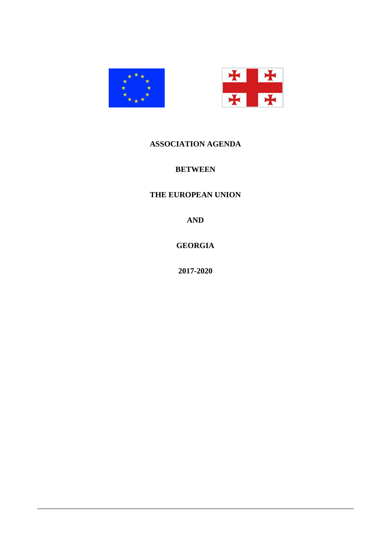



# **ASSOCIATION AGENDA**

# **BETWEEN**

# **THE EUROPEAN UNION**

**AND**

**GEORGIA**

**2017-2020**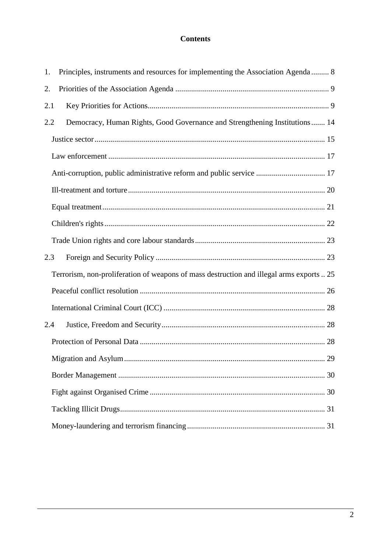# **Contents**

| Principles, instruments and resources for implementing the Association Agenda 8<br>1.    |
|------------------------------------------------------------------------------------------|
| 2.                                                                                       |
| 2.1                                                                                      |
| Democracy, Human Rights, Good Governance and Strengthening Institutions 14<br>2.2        |
|                                                                                          |
|                                                                                          |
| Anti-corruption, public administrative reform and public service  17                     |
|                                                                                          |
|                                                                                          |
|                                                                                          |
|                                                                                          |
| 2.3                                                                                      |
| Terrorism, non-proliferation of weapons of mass destruction and illegal arms exports  25 |
|                                                                                          |
|                                                                                          |
| 2.4                                                                                      |
|                                                                                          |
|                                                                                          |
|                                                                                          |
|                                                                                          |
|                                                                                          |
|                                                                                          |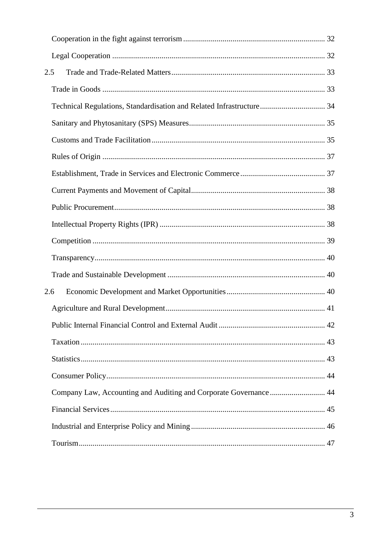| 2.5 |                                                                      |    |
|-----|----------------------------------------------------------------------|----|
|     |                                                                      |    |
|     | Technical Regulations, Standardisation and Related Infrastructure 34 |    |
|     |                                                                      |    |
|     |                                                                      |    |
|     |                                                                      |    |
|     |                                                                      |    |
|     |                                                                      |    |
|     |                                                                      |    |
|     |                                                                      |    |
|     |                                                                      |    |
|     |                                                                      |    |
|     |                                                                      |    |
| 2.6 |                                                                      |    |
|     |                                                                      |    |
|     | Public Internal Financial Control and External Audit                 | 42 |
|     |                                                                      |    |
|     |                                                                      |    |
|     |                                                                      |    |
|     | Company Law, Accounting and Auditing and Corporate Governance 44     |    |
|     |                                                                      |    |
|     |                                                                      |    |
|     |                                                                      |    |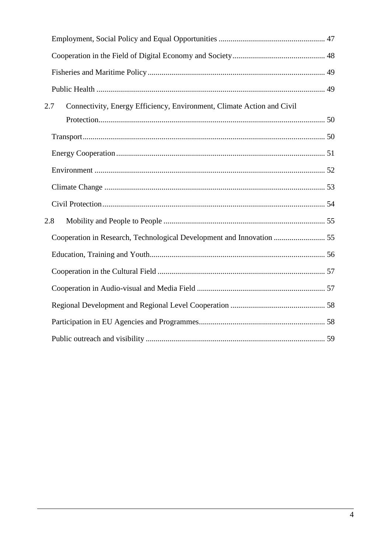| 2.7 | Connectivity, Energy Efficiency, Environment, Climate Action and Civil |  |
|-----|------------------------------------------------------------------------|--|
|     |                                                                        |  |
|     |                                                                        |  |
|     |                                                                        |  |
|     |                                                                        |  |
|     |                                                                        |  |
|     |                                                                        |  |
| 2.8 |                                                                        |  |
|     | Cooperation in Research, Technological Development and Innovation  55  |  |
|     |                                                                        |  |
|     |                                                                        |  |
|     |                                                                        |  |
|     |                                                                        |  |
|     |                                                                        |  |
|     |                                                                        |  |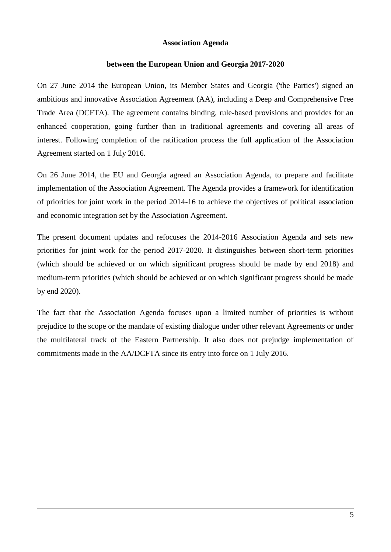#### **Association Agenda**

#### **between the European Union and Georgia 2017-2020**

On 27 June 2014 the European Union, its Member States and Georgia ('the Parties') signed an ambitious and innovative Association Agreement (AA), including a Deep and Comprehensive Free Trade Area (DCFTA). The agreement contains binding, rule-based provisions and provides for an enhanced cooperation, going further than in traditional agreements and covering all areas of interest. Following completion of the ratification process the full application of the Association Agreement started on 1 July 2016.

On 26 June 2014, the EU and Georgia agreed an Association Agenda, to prepare and facilitate implementation of the Association Agreement. The Agenda provides a framework for identification of priorities for joint work in the period 2014-16 to achieve the objectives of political association and economic integration set by the Association Agreement.

The present document updates and refocuses the 2014-2016 Association Agenda and sets new priorities for joint work for the period 2017-2020. It distinguishes between short-term priorities (which should be achieved or on which significant progress should be made by end 2018) and medium-term priorities (which should be achieved or on which significant progress should be made by end 2020).

The fact that the Association Agenda focuses upon a limited number of priorities is without prejudice to the scope or the mandate of existing dialogue under other relevant Agreements or under the multilateral track of the Eastern Partnership. It also does not prejudge implementation of commitments made in the AA/DCFTA since its entry into force on 1 July 2016.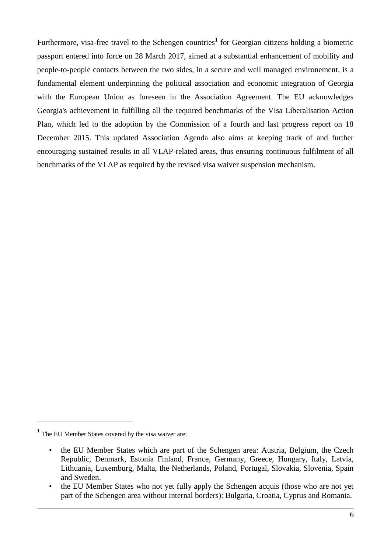Furthermore, visa-free travel to the Schengen countries<sup>1</sup> for Georgian citizens holding a biometric passport entered into force on 28 March 2017, aimed at a substantial enhancement of mobility and people-to-people contacts between the two sides, in a secure and well managed environement, is a fundamental element underpinning the political association and economic integration of Georgia with the European Union as foreseen in the Association Agreement. The EU acknowledges Georgia's achievement in fulfilling all the required benchmarks of the Visa Liberalisation Action Plan, which led to the adoption by the Commission of a fourth and last progress report on 18 December 2015. This updated Association Agenda also aims at keeping track of and further encouraging sustained results in all VLAP-related areas, thus ensuring continuous fulfilment of all benchmarks of the VLAP as required by the revised visa waiver suspension mechanism.

1

**<sup>1</sup>** The EU Member States covered by the visa waiver are:

<sup>•</sup> the EU Member States which are part of the Schengen area: Austria, Belgium, the Czech Republic, Denmark, Estonia Finland, France, Germany, Greece, Hungary, Italy, Latvia, Lithuania, Luxemburg, Malta, the Netherlands, Poland, Portugal, Slovakia, Slovenia, Spain and Sweden.

<sup>•</sup> the EU Member States who not yet fully apply the Schengen acquis (those who are not yet part of the Schengen area without internal borders): Bulgaria, Croatia, Cyprus and Romania.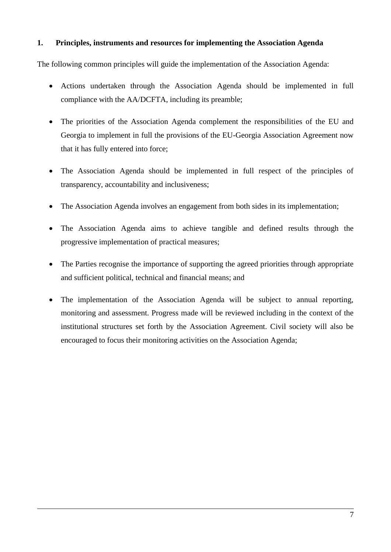## **1. Principles, instruments and resources for implementing the Association Agenda**

The following common principles will guide the implementation of the Association Agenda:

- Actions undertaken through the Association Agenda should be implemented in full compliance with the AA/DCFTA, including its preamble;
- The priorities of the Association Agenda complement the responsibilities of the EU and Georgia to implement in full the provisions of the EU-Georgia Association Agreement now that it has fully entered into force;
- The Association Agenda should be implemented in full respect of the principles of transparency, accountability and inclusiveness;
- The Association Agenda involves an engagement from both sides in its implementation;
- The Association Agenda aims to achieve tangible and defined results through the progressive implementation of practical measures;
- The Parties recognise the importance of supporting the agreed priorities through appropriate and sufficient political, technical and financial means; and
- The implementation of the Association Agenda will be subject to annual reporting, monitoring and assessment. Progress made will be reviewed including in the context of the institutional structures set forth by the Association Agreement. Civil society will also be encouraged to focus their monitoring activities on the Association Agenda;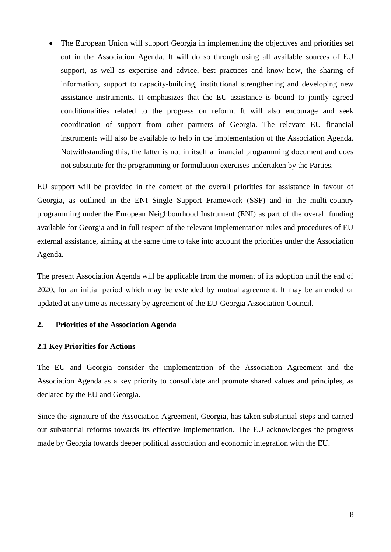The European Union will support Georgia in implementing the objectives and priorities set out in the Association Agenda. It will do so through using all available sources of EU support, as well as expertise and advice, best practices and know-how, the sharing of information, support to capacity-building, institutional strengthening and developing new assistance instruments. It emphasizes that the EU assistance is bound to jointly agreed conditionalities related to the progress on reform. It will also encourage and seek coordination of support from other partners of Georgia. The relevant EU financial instruments will also be available to help in the implementation of the Association Agenda. Notwithstanding this, the latter is not in itself a financial programming document and does not substitute for the programming or formulation exercises undertaken by the Parties.

EU support will be provided in the context of the overall priorities for assistance in favour of Georgia, as outlined in the ENI Single Support Framework (SSF) and in the multi-country programming under the European Neighbourhood Instrument (ENI) as part of the overall funding available for Georgia and in full respect of the relevant implementation rules and procedures of EU external assistance, aiming at the same time to take into account the priorities under the Association Agenda.

The present Association Agenda will be applicable from the moment of its adoption until the end of 2020, for an initial period which may be extended by mutual agreement. It may be amended or updated at any time as necessary by agreement of the EU-Georgia Association Council.

#### **2. Priorities of the Association Agenda**

#### **2.1 Key Priorities for Actions**

The EU and Georgia consider the implementation of the Association Agreement and the Association Agenda as a key priority to consolidate and promote shared values and principles, as declared by the EU and Georgia.

Since the signature of the Association Agreement, Georgia, has taken substantial steps and carried out substantial reforms towards its effective implementation. The EU acknowledges the progress made by Georgia towards deeper political association and economic integration with the EU.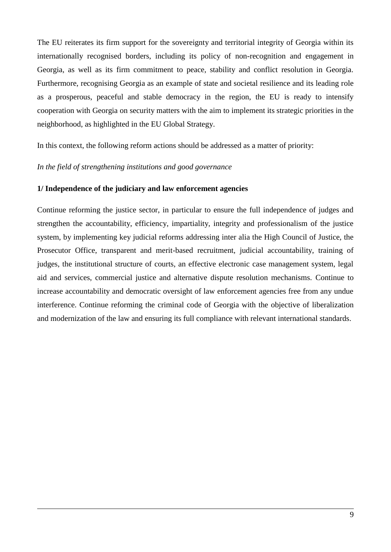The EU reiterates its firm support for the sovereignty and territorial integrity of Georgia within its internationally recognised borders, including its policy of non-recognition and engagement in Georgia, as well as its firm commitment to peace, stability and conflict resolution in Georgia. Furthermore, recognising Georgia as an example of state and societal resilience and its leading role as a prosperous, peaceful and stable democracy in the region, the EU is ready to intensify cooperation with Georgia on security matters with the aim to implement its strategic priorities in the neighborhood, as highlighted in the EU Global Strategy.

In this context, the following reform actions should be addressed as a matter of priority:

#### *In the field of strengthening institutions and good governance*

#### **1/ Independence of the judiciary and law enforcement agencies**

Continue reforming the justice sector, in particular to ensure the full independence of judges and strengthen the accountability, efficiency, impartiality, integrity and professionalism of the justice system, by implementing key judicial reforms addressing inter alia the High Council of Justice, the Prosecutor Office, transparent and merit-based recruitment, judicial accountability, training of judges, the institutional structure of courts, an effective electronic case management system, legal aid and services, commercial justice and alternative dispute resolution mechanisms. Continue to increase accountability and democratic oversight of law enforcement agencies free from any undue interference. Continue reforming the criminal code of Georgia with the objective of liberalization and modernization of the law and ensuring its full compliance with relevant international standards.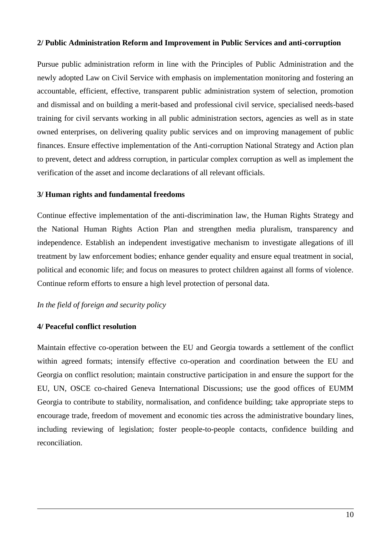#### **2/ Public Administration Reform and Improvement in Public Services and anti-corruption**

Pursue public administration reform in line with the Principles of Public Administration and the newly adopted Law on Civil Service with emphasis on implementation monitoring and fostering an accountable, efficient, effective, transparent public administration system of selection, promotion and dismissal and on building a merit-based and professional civil service, specialised needs-based training for civil servants working in all public administration sectors, agencies as well as in state owned enterprises, on delivering quality public services and on improving management of public finances. Ensure effective implementation of the Anti-corruption National Strategy and Action plan to prevent, detect and address corruption, in particular complex corruption as well as implement the verification of the asset and income declarations of all relevant officials.

#### **3/ Human rights and fundamental freedoms**

Continue effective implementation of the anti-discrimination law, the Human Rights Strategy and the National Human Rights Action Plan and strengthen media pluralism, transparency and independence. Establish an independent investigative mechanism to investigate allegations of ill treatment by law enforcement bodies; enhance gender equality and ensure equal treatment in social, political and economic life; and focus on measures to protect children against all forms of violence. Continue reform efforts to ensure a high level protection of personal data.

#### *In the field of foreign and security policy*

### **4/ Peaceful conflict resolution**

Maintain effective co-operation between the EU and Georgia towards a settlement of the conflict within agreed formats; intensify effective co-operation and coordination between the EU and Georgia on conflict resolution; maintain constructive participation in and ensure the support for the EU, UN, OSCE co-chaired Geneva International Discussions; use the good offices of EUMM Georgia to contribute to stability, normalisation, and confidence building; take appropriate steps to encourage trade, freedom of movement and economic ties across the administrative boundary lines, including reviewing of legislation; foster people-to-people contacts, confidence building and reconciliation.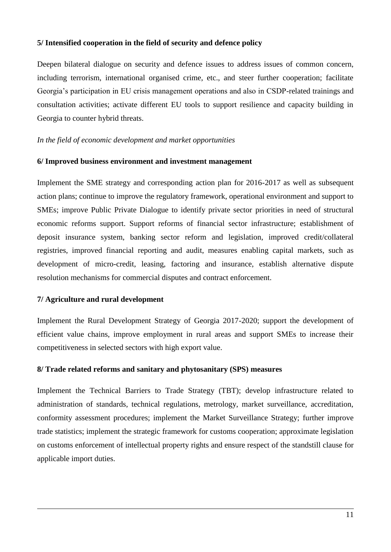#### **5/ Intensified cooperation in the field of security and defence policy**

Deepen bilateral dialogue on security and defence issues to address issues of common concern, including terrorism, international organised crime, etc., and steer further cooperation; facilitate Georgia's participation in EU crisis management operations and also in CSDP-related trainings and consultation activities; activate different EU tools to support resilience and capacity building in Georgia to counter hybrid threats.

#### *In the field of economic development and market opportunities*

#### **6/ Improved business environment and investment management**

Implement the SME strategy and corresponding action plan for 2016-2017 as well as subsequent action plans; continue to improve the regulatory framework, operational environment and support to SMEs; improve Public Private Dialogue to identify private sector priorities in need of structural economic reforms support. Support reforms of financial sector infrastructure; establishment of deposit insurance system, banking sector reform and legislation, improved credit/collateral registries, improved financial reporting and audit, measures enabling capital markets, such as development of micro-credit, leasing, factoring and insurance, establish alternative dispute resolution mechanisms for commercial disputes and contract enforcement.

### **7/ Agriculture and rural development**

Implement the Rural Development Strategy of Georgia 2017-2020; support the development of efficient value chains, improve employment in rural areas and support SMEs to increase their competitiveness in selected sectors with high export value.

### **8/ Trade related reforms and sanitary and phytosanitary (SPS) measures**

Implement the Technical Barriers to Trade Strategy (TBT); develop infrastructure related to administration of standards, technical regulations, metrology, market surveillance, accreditation, conformity assessment procedures; implement the Market Surveillance Strategy; further improve trade statistics; implement the strategic framework for customs cooperation; approximate legislation on customs enforcement of intellectual property rights and ensure respect of the standstill clause for applicable import duties.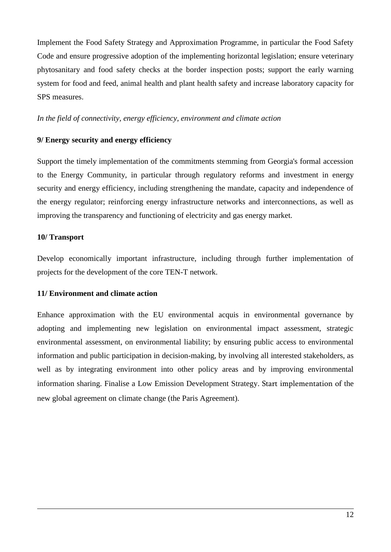Implement the Food Safety Strategy and Approximation Programme, in particular the Food Safety Code and ensure progressive adoption of the implementing horizontal legislation; ensure veterinary phytosanitary and food safety checks at the border inspection posts; support the early warning system for food and feed, animal health and plant health safety and increase laboratory capacity for SPS measures.

#### *In the field of connectivity, energy efficiency, environment and climate action*

#### **9/ Energy security and energy efficiency**

Support the timely implementation of the commitments stemming from Georgia's formal accession to the Energy Community, in particular through regulatory reforms and investment in energy security and energy efficiency, including strengthening the mandate, capacity and independence of the energy regulator; reinforcing energy infrastructure networks and interconnections, as well as improving the transparency and functioning of electricity and gas energy market.

### **10/ Transport**

Develop economically important infrastructure, including through further implementation of projects for the development of the core TEN-T network.

#### **11/ Environment and climate action**

Enhance approximation with the EU environmental acquis in environmental governance by adopting and implementing new legislation on environmental impact assessment, strategic environmental assessment, on environmental liability; by ensuring public access to environmental information and public participation in decision-making, by involving all interested stakeholders, as well as by integrating environment into other policy areas and by improving environmental information sharing. Finalise a Low Emission Development Strategy. Start implementation of the new global agreement on climate change (the Paris Agreement).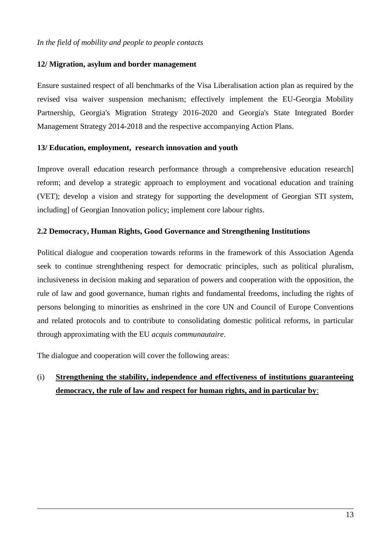#### **12/ Migration, asylum and border management**

Ensure sustained respect of all benchmarks of the Visa Liberalisation action plan as required by the revised visa waiver suspension mechanism; effectively implement the EU-Georgia Mobility Partnership, Georgia's Migration Strategy 2016-2020 and Georgia's State Integrated Border Management Strategy 2014-2018 and the respective accompanying Action Plans.

### **13/ Education, employment, research innovation and youth**

Improve overall education research performance through a comprehensive education research] reform; and develop a strategic approach to employment and vocational education and training (VET); develop a vision and strategy for supporting the development of Georgian STI system, including] of Georgian Innovation policy; implement core labour rights.

### **2.2 Democracy, Human Rights, Good Governance and Strengthening Institutions**

Political dialogue and cooperation towards reforms in the framework of this Association Agenda seek to continue strenghthening respect for democratic principles, such as political pluralism, inclusiveness in decision making and separation of powers and cooperation with the opposition, the rule of law and good governance, human rights and fundamental freedoms, including the rights of persons belonging to minorities as enshrined in the core UN and Council of Europe Conventions and related protocols and to contribute to consolidating domestic political reforms, in particular through approximating with the EU *acquis communautaire*.

The dialogue and cooperation will cover the following areas:

# (i) **Strengthening the stability, independence and effectiveness of institutions guaranteeing democracy, the rule of law and respect for human rights, and in particular by**: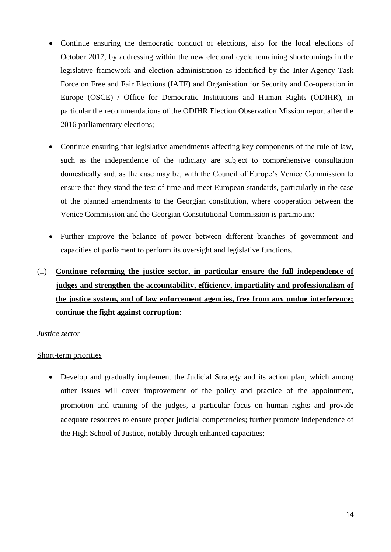- Continue ensuring the democratic conduct of elections, also for the local elections of October 2017, by addressing within the new electoral cycle remaining shortcomings in the legislative framework and election administration as identified by the Inter-Agency Task Force on Free and Fair Elections (IATF) and Organisation for Security and Co-operation in Europe (OSCE) / Office for Democratic Institutions and Human Rights (ODIHR), in particular the recommendations of the ODIHR Election Observation Mission report after the 2016 parliamentary elections;
- Continue ensuring that legislative amendments affecting key components of the rule of law, such as the independence of the judiciary are subject to comprehensive consultation domestically and, as the case may be, with the Council of Europe's Venice Commission to ensure that they stand the test of time and meet European standards, particularly in the case of the planned amendments to the Georgian constitution, where cooperation between the Venice Commission and the Georgian Constitutional Commission is paramount;
- Further improve the balance of power between different branches of government and capacities of parliament to perform its oversight and legislative functions.
- (ii) **Continue reforming the justice sector, in particular ensure the full independence of judges and strengthen the accountability, efficiency, impartiality and professionalism of the justice system, and of law enforcement agencies, free from any undue interference; continue the fight against corruption**:

### *Justice sector*

### Short-term priorities

• Develop and gradually implement the Judicial Strategy and its action plan, which among other issues will cover improvement of the policy and practice of the appointment, promotion and training of the judges, a particular focus on human rights and provide adequate resources to ensure proper judicial competencies; further promote independence of the High School of Justice, notably through enhanced capacities;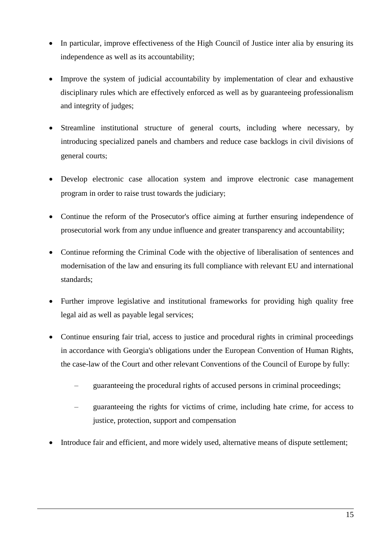- In particular, improve effectiveness of the High Council of Justice inter alia by ensuring its independence as well as its accountability;
- Improve the system of judicial accountability by implementation of clear and exhaustive disciplinary rules which are effectively enforced as well as by guaranteeing professionalism and integrity of judges;
- Streamline institutional structure of general courts, including where necessary, by introducing specialized panels and chambers and reduce case backlogs in civil divisions of general courts;
- Develop electronic case allocation system and improve electronic case management program in order to raise trust towards the judiciary;
- Continue the reform of the Prosecutor's office aiming at further ensuring independence of prosecutorial work from any undue influence and greater transparency and accountability;
- Continue reforming the Criminal Code with the objective of liberalisation of sentences and modernisation of the law and ensuring its full compliance with relevant EU and international standards;
- Further improve legislative and institutional frameworks for providing high quality free legal aid as well as payable legal services;
- Continue ensuring fair trial, access to justice and procedural rights in criminal proceedings in accordance with Georgia's obligations under the European Convention of Human Rights, the case-law of the Court and other relevant Conventions of the Council of Europe by fully:
	- guaranteeing the procedural rights of accused persons in criminal proceedings;
	- guaranteeing the rights for victims of crime, including hate crime, for access to justice, protection, support and compensation
- Introduce fair and efficient, and more widely used, alternative means of dispute settlement;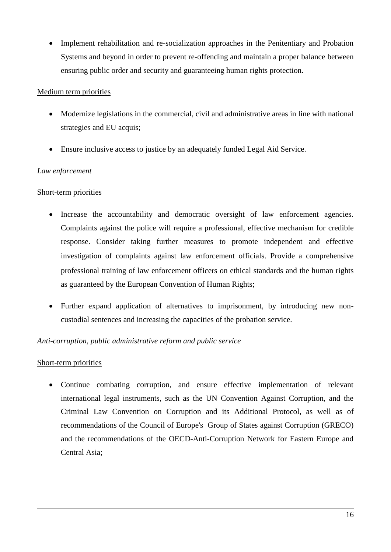• Implement rehabilitation and re-socialization approaches in the Penitentiary and Probation Systems and beyond in order to prevent re-offending and maintain a proper balance between ensuring public order and security and guaranteeing human rights protection.

### Medium term priorities

- Modernize legislations in the commercial, civil and administrative areas in line with national strategies and EU acquis;
- Ensure inclusive access to justice by an adequately funded Legal Aid Service.

## *Law enforcement*

## Short-term priorities

- Increase the accountability and democratic oversight of law enforcement agencies. Complaints against the police will require a professional, effective mechanism for credible response. Consider taking further measures to promote independent and effective investigation of complaints against law enforcement officials. Provide a comprehensive professional training of law enforcement officers on ethical standards and the human rights as guaranteed by the European Convention of Human Rights;
- Further expand application of alternatives to imprisonment, by introducing new noncustodial sentences and increasing the capacities of the probation service.

### *Anti-corruption, public administrative reform and public service*

### Short-term priorities

 Continue combating corruption, and ensure effective implementation of relevant international legal instruments, such as the UN Convention Against Corruption, and the Criminal Law Convention on Corruption and its Additional Protocol, as well as of recommendations of the Council of Europe's Group of States against Corruption (GRECO) and the recommendations of the OECD-Anti-Corruption Network for Eastern Europe and Central Asia;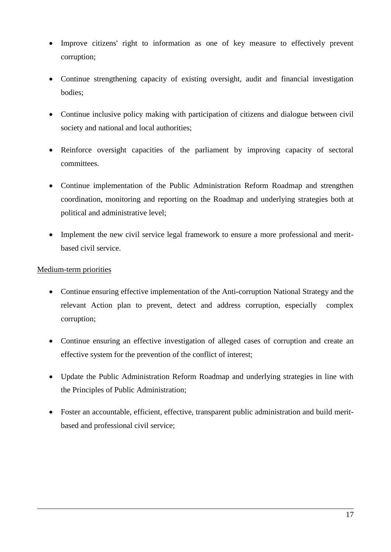- Improve citizens' right to information as one of key measure to effectively prevent corruption;
- Continue strengthening capacity of existing oversight, audit and financial investigation bodies;
- Continue inclusive policy making with participation of citizens and dialogue between civil society and national and local authorities;
- Reinforce oversight capacities of the parliament by improving capacity of sectoral committees.
- Continue implementation of the Public Administration Reform Roadmap and strengthen coordination, monitoring and reporting on the Roadmap and underlying strategies both at political and administrative level;
- Implement the new civil service legal framework to ensure a more professional and meritbased civil service.

- Continue ensuring effective implementation of the Anti-corruption National Strategy and the relevant Action plan to prevent, detect and address corruption, especially complex corruption;
- Continue ensuring an effective investigation of alleged cases of corruption and create an effective system for the prevention of the conflict of interest;
- Update the Public Administration Reform Roadmap and underlying strategies in line with the Principles of Public Administration;
- Foster an accountable, efficient, effective, transparent public administration and build meritbased and professional civil service;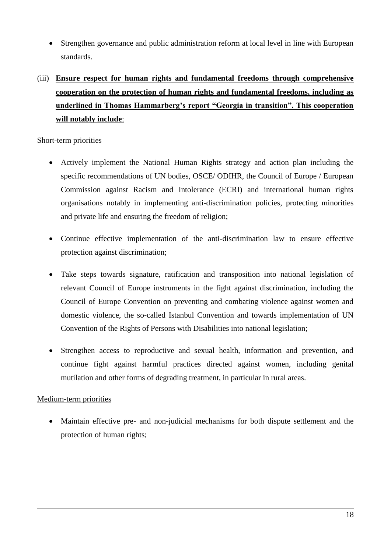- Strengthen governance and public administration reform at local level in line with European standards.
- (iii) **Ensure respect for human rights and fundamental freedoms through comprehensive cooperation on the protection of human rights and fundamental freedoms, including as underlined in Thomas Hammarberg's report "Georgia in transition". This cooperation will notably include**:

### Short-term priorities

- Actively implement the National Human Rights strategy and action plan including the specific recommendations of UN bodies, OSCE/ ODIHR, the Council of Europe / European Commission against Racism and Intolerance (ECRI) and international human rights organisations notably in implementing anti-discrimination policies, protecting minorities and private life and ensuring the freedom of religion;
- Continue effective implementation of the anti-discrimination law to ensure effective protection against discrimination;
- Take steps towards signature, ratification and transposition into national legislation of relevant Council of Europe instruments in the fight against discrimination, including the Council of Europe Convention on preventing and combating violence against women and domestic violence, the so-called Istanbul Convention and towards implementation of UN Convention of the Rights of Persons with Disabilities into national legislation;
- Strengthen access to reproductive and sexual health, information and prevention, and continue fight against harmful practices directed against women, including genital mutilation and other forms of degrading treatment, in particular in rural areas.

### Medium-term priorities

 Maintain effective pre- and non-judicial mechanisms for both dispute settlement and the protection of human rights;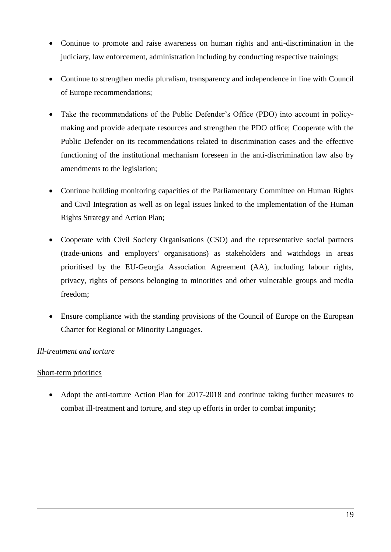- Continue to promote and raise awareness on human rights and anti-discrimination in the judiciary, law enforcement, administration including by conducting respective trainings;
- Continue to strengthen media pluralism, transparency and independence in line with Council of Europe recommendations;
- Take the recommendations of the Public Defender's Office (PDO) into account in policymaking and provide adequate resources and strengthen the PDO office; Cooperate with the Public Defender on its recommendations related to discrimination cases and the effective functioning of the institutional mechanism foreseen in the anti-discrimination law also by amendments to the legislation;
- Continue building monitoring capacities of the Parliamentary Committee on Human Rights and Civil Integration as well as on legal issues linked to the implementation of the Human Rights Strategy and Action Plan;
- Cooperate with Civil Society Organisations (CSO) and the representative social partners (trade-unions and employers' organisations) as stakeholders and watchdogs in areas prioritised by the EU-Georgia Association Agreement (AA), including labour rights, privacy, rights of persons belonging to minorities and other vulnerable groups and media freedom;
- Ensure compliance with the standing provisions of the Council of Europe on the European Charter for Regional or Minority Languages.

# *Ill-treatment and torture*

### Short-term priorities

• Adopt the anti-torture Action Plan for 2017-2018 and continue taking further measures to combat ill-treatment and torture, and step up efforts in order to combat impunity;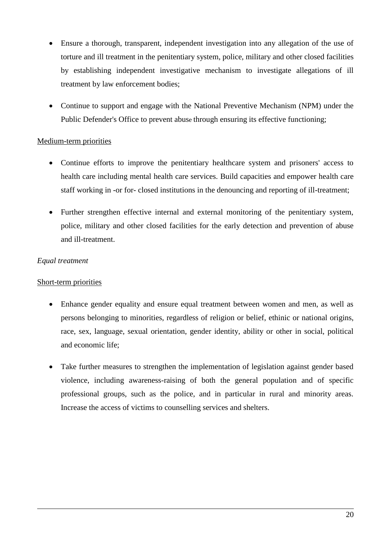- Ensure a thorough, transparent, independent investigation into any allegation of the use of torture and ill treatment in the penitentiary system, police, military and other closed facilities by establishing independent investigative mechanism to investigate allegations of ill treatment by law enforcement bodies;
- Continue to support and engage with the National Preventive Mechanism (NPM) under the Public Defender's Office to prevent abuse through ensuring its effective functioning;

- Continue efforts to improve the penitentiary healthcare system and prisoners' access to health care including mental health care services. Build capacities and empower health care staff working in -or for- closed institutions in the denouncing and reporting of ill-treatment;
- Further strengthen effective internal and external monitoring of the penitentiary system, police, military and other closed facilities for the early detection and prevention of abuse and ill-treatment.

## *Equal treatment*

### Short-term priorities

- Enhance gender equality and ensure equal treatment between women and men, as well as persons belonging to minorities, regardless of religion or belief, ethinic or national origins, race, sex, language, sexual orientation, gender identity, ability or other in social, political and economic life;
- Take further measures to strengthen the implementation of legislation against gender based violence, including awareness-raising of both the general population and of specific professional groups, such as the police, and in particular in rural and minority areas. Increase the access of victims to counselling services and shelters.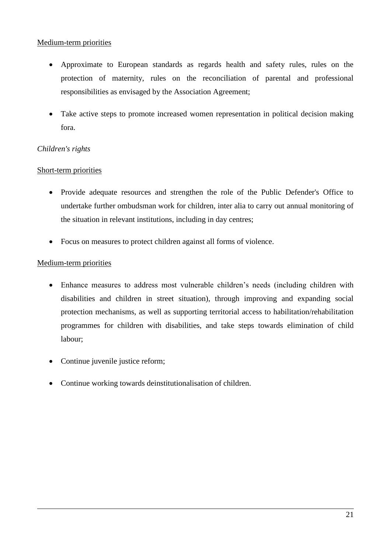- Approximate to European standards as regards health and safety rules, rules on the protection of maternity, rules on the reconciliation of parental and professional responsibilities as envisaged by the Association Agreement;
- Take active steps to promote increased women representation in political decision making fora.

# *Children's rights*

# Short-term priorities

- Provide adequate resources and strengthen the role of the Public Defender's Office to undertake further ombudsman work for children, inter alia to carry out annual monitoring of the situation in relevant institutions, including in day centres;
- Focus on measures to protect children against all forms of violence.

- Enhance measures to address most vulnerable children's needs (including children with disabilities and children in street situation), through improving and expanding social protection mechanisms, as well as supporting territorial access to habilitation/rehabilitation programmes for children with disabilities, and take steps towards elimination of child labour;
- Continue juvenile justice reform;
- Continue working towards deinstitutionalisation of children.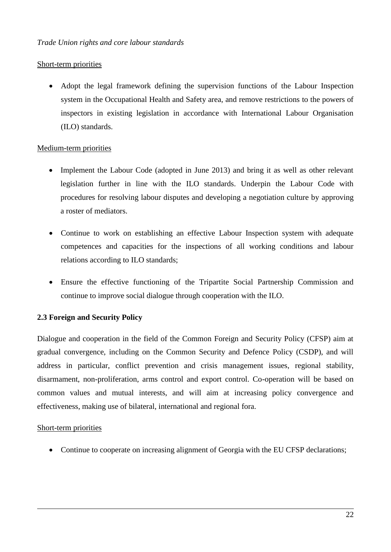## Short-term priorities

 Adopt the legal framework defining the supervision functions of the Labour Inspection system in the Occupational Health and Safety area, and remove restrictions to the powers of inspectors in existing legislation in accordance with International Labour Organisation (ILO) standards.

## Medium-term priorities

- Implement the Labour Code (adopted in June 2013) and bring it as well as other relevant legislation further in line with the ILO standards. Underpin the Labour Code with procedures for resolving labour disputes and developing a negotiation culture by approving a roster of mediators.
- Continue to work on establishing an effective Labour Inspection system with adequate competences and capacities for the inspections of all working conditions and labour relations according to ILO standards;
- Ensure the effective functioning of the Tripartite Social Partnership Commission and continue to improve social dialogue through cooperation with the ILO.

# **2.3 Foreign and Security Policy**

Dialogue and cooperation in the field of the Common Foreign and Security Policy (CFSP) aim at gradual convergence, including on the Common Security and Defence Policy (CSDP), and will address in particular, conflict prevention and crisis management issues, regional stability, disarmament, non-proliferation, arms control and export control. Co-operation will be based on common values and mutual interests, and will aim at increasing policy convergence and effectiveness, making use of bilateral, international and regional fora.

### Short-term priorities

• Continue to cooperate on increasing alignment of Georgia with the EU CFSP declarations;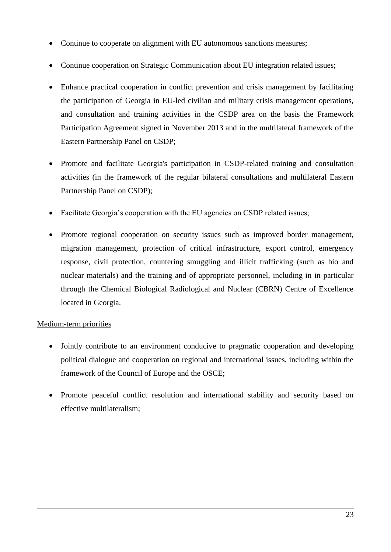- Continue to cooperate on alignment with EU autonomous sanctions measures;
- Continue cooperation on Strategic Communication about EU integration related issues;
- Enhance practical cooperation in conflict prevention and crisis management by facilitating the participation of Georgia in EU-led civilian and military crisis management operations, and consultation and training activities in the CSDP area on the basis the Framework Participation Agreement signed in November 2013 and in the multilateral framework of the Eastern Partnership Panel on CSDP;
- Promote and facilitate Georgia's participation in CSDP-related training and consultation activities (in the framework of the regular bilateral consultations and multilateral Eastern Partnership Panel on CSDP);
- Facilitate Georgia's cooperation with the EU agencies on CSDP related issues;
- Promote regional cooperation on security issues such as improved border management, migration management, protection of critical infrastructure, export control, emergency response, civil protection, countering smuggling and illicit trafficking (such as bio and nuclear materials) and the training and of appropriate personnel, including in in particular through the Chemical Biological Radiological and Nuclear (CBRN) Centre of Excellence located in Georgia.

- Jointly contribute to an environment conducive to pragmatic cooperation and developing political dialogue and cooperation on regional and international issues, including within the framework of the Council of Europe and the OSCE;
- Promote peaceful conflict resolution and international stability and security based on effective multilateralism;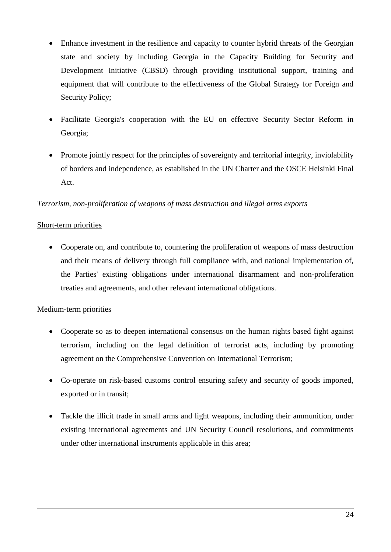- Enhance investment in the resilience and capacity to counter hybrid threats of the Georgian state and society by including Georgia in the Capacity Building for Security and Development Initiative (CBSD) through providing institutional support, training and equipment that will contribute to the effectiveness of the Global Strategy for Foreign and Security Policy;
- Facilitate Georgia's cooperation with the EU on effective Security Sector Reform in Georgia;
- Promote jointly respect for the principles of sovereignty and territorial integrity, inviolability of borders and independence, as established in the UN Charter and the OSCE Helsinki Final Act.

## *Terrorism, non-proliferation of weapons of mass destruction and illegal arms exports*

## Short-term priorities

• Cooperate on, and contribute to, countering the proliferation of weapons of mass destruction and their means of delivery through full compliance with, and national implementation of, the Parties' existing obligations under international disarmament and non-proliferation treaties and agreements, and other relevant international obligations.

- Cooperate so as to deepen international consensus on the human rights based fight against terrorism, including on the legal definition of terrorist acts, including by promoting agreement on the Comprehensive Convention on International Terrorism;
- Co-operate on risk-based customs control ensuring safety and security of goods imported, exported or in transit;
- Tackle the illicit trade in small arms and light weapons, including their ammunition, under existing international agreements and UN Security Council resolutions, and commitments under other international instruments applicable in this area;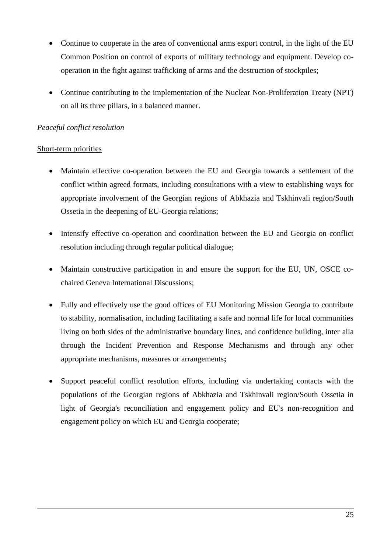- Continue to cooperate in the area of conventional arms export control, in the light of the EU Common Position on control of exports of military technology and equipment. Develop cooperation in the fight against trafficking of arms and the destruction of stockpiles;
- Continue contributing to the implementation of the Nuclear Non-Proliferation Treaty (NPT) on all its three pillars, in a balanced manner.

## *Peaceful conflict resolution*

### Short-term priorities

- Maintain effective co-operation between the EU and Georgia towards a settlement of the conflict within agreed formats, including consultations with a view to establishing ways for appropriate involvement of the Georgian regions of Abkhazia and Tskhinvali region/South Ossetia in the deepening of EU-Georgia relations;
- Intensify effective co-operation and coordination between the EU and Georgia on conflict resolution including through regular political dialogue;
- Maintain constructive participation in and ensure the support for the EU, UN, OSCE cochaired Geneva International Discussions;
- Fully and effectively use the good offices of EU Monitoring Mission Georgia to contribute to stability, normalisation, including facilitating a safe and normal life for local communities living on both sides of the administrative boundary lines, and confidence building, inter alia through the Incident Prevention and Response Mechanisms and through any other appropriate mechanisms, measures or arrangements**;**
- Support peaceful conflict resolution efforts, including via undertaking contacts with the populations of the Georgian regions of Abkhazia and Tskhinvali region/South Ossetia in light of Georgia's reconciliation and engagement policy and EU's non-recognition and engagement policy on which EU and Georgia cooperate;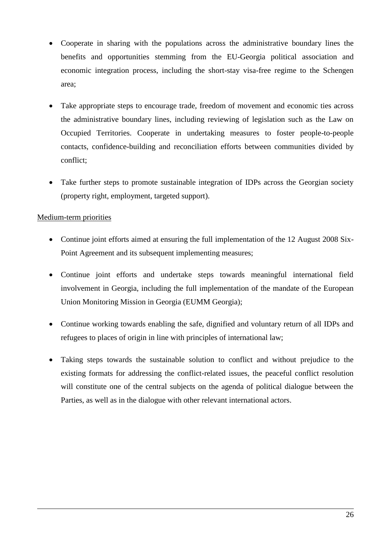- Cooperate in sharing with the populations across the administrative boundary lines the benefits and opportunities stemming from the EU-Georgia political association and economic integration process, including the short-stay visa-free regime to the Schengen area;
- Take appropriate steps to encourage trade, freedom of movement and economic ties across the administrative boundary lines, including reviewing of legislation such as the Law on Occupied Territories. Cooperate in undertaking measures to foster people-to-people contacts, confidence-building and reconciliation efforts between communities divided by conflict;
- Take further steps to promote sustainable integration of IDPs across the Georgian society (property right, employment, targeted support).

- Continue joint efforts aimed at ensuring the full implementation of the 12 August 2008 Six-Point Agreement and its subsequent implementing measures;
- Continue joint efforts and undertake steps towards meaningful international field involvement in Georgia, including the full implementation of the mandate of the European Union Monitoring Mission in Georgia (EUMM Georgia);
- Continue working towards enabling the safe, dignified and voluntary return of all IDPs and refugees to places of origin in line with principles of international law;
- Taking steps towards the sustainable solution to conflict and without prejudice to the existing formats for addressing the conflict-related issues, the peaceful conflict resolution will constitute one of the central subjects on the agenda of political dialogue between the Parties, as well as in the dialogue with other relevant international actors.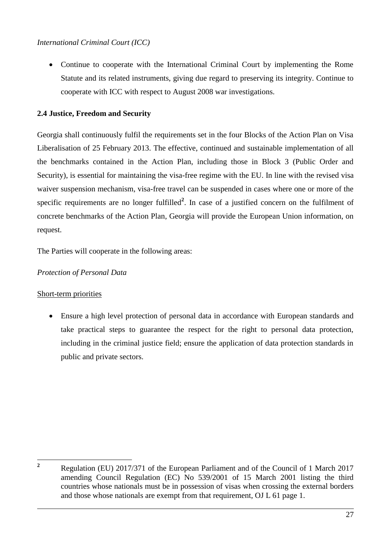• Continue to cooperate with the International Criminal Court by implementing the Rome Statute and its related instruments, giving due regard to preserving its integrity. Continue to cooperate with ICC with respect to August 2008 war investigations.

# **2.4 Justice, Freedom and Security**

Georgia shall continuously fulfil the requirements set in the four Blocks of the Action Plan on Visa Liberalisation of 25 February 2013. The effective, continued and sustainable implementation of all the benchmarks contained in the Action Plan, including those in Block 3 (Public Order and Security), is essential for maintaining the visa-free regime with the EU. In line with the revised visa waiver suspension mechanism, visa-free travel can be suspended in cases where one or more of the specific requirements are no longer fulfilled<sup>2</sup>. In case of a justified concern on the fulfilment of concrete benchmarks of the Action Plan, Georgia will provide the European Union information, on request.

The Parties will cooperate in the following areas:

# *Protection of Personal Data*

# Short-term priorities

 Ensure a high level protection of personal data in accordance with European standards and take practical steps to guarantee the respect for the right to personal data protection, including in the criminal justice field; ensure the application of data protection standards in public and private sectors.

 $\overline{2}$ 

**<sup>2</sup>** Regulation (EU) 2017/371 of the European Parliament and of the Council of 1 March 2017 amending Council Regulation (EC) No 539/2001 of 15 March 2001 listing the third countries whose nationals must be in possession of visas when crossing the external borders and those whose nationals are exempt from that requirement, OJ L 61 page 1.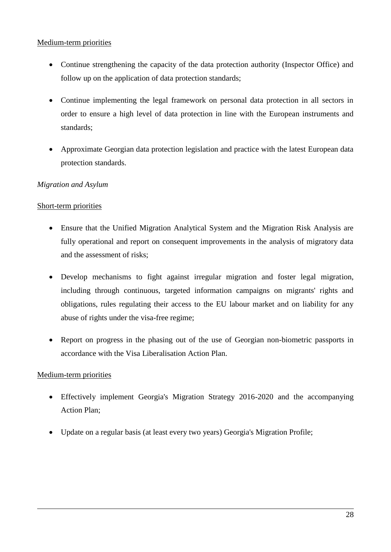- Continue strengthening the capacity of the data protection authority (Inspector Office) and follow up on the application of data protection standards;
- Continue implementing the legal framework on personal data protection in all sectors in order to ensure a high level of data protection in line with the European instruments and standards;
- Approximate Georgian data protection legislation and practice with the latest European data protection standards.

# *Migration and Asylum*

## Short-term priorities

- Ensure that the Unified Migration Analytical System and the Migration Risk Analysis are fully operational and report on consequent improvements in the analysis of migratory data and the assessment of risks;
- Develop mechanisms to fight against irregular migration and foster legal migration, including through continuous, targeted information campaigns on migrants' rights and obligations, rules regulating their access to the EU labour market and on liability for any abuse of rights under the visa-free regime;
- Report on progress in the phasing out of the use of Georgian non-biometric passports in accordance with the Visa Liberalisation Action Plan.

- Effectively implement Georgia's Migration Strategy 2016-2020 and the accompanying Action Plan;
- Update on a regular basis (at least every two years) Georgia's Migration Profile;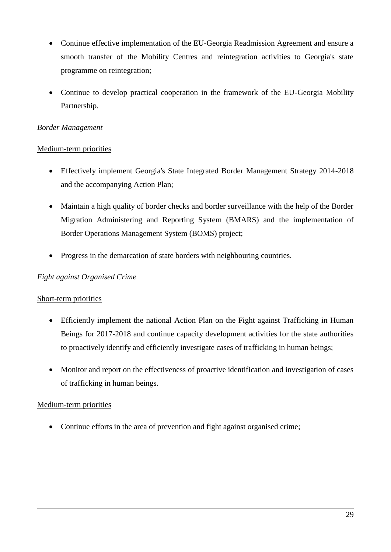- Continue effective implementation of the EU-Georgia Readmission Agreement and ensure a smooth transfer of the Mobility Centres and reintegration activities to Georgia's state programme on reintegration;
- Continue to develop practical cooperation in the framework of the EU-Georgia Mobility Partnership.

## *Border Management*

## Medium-term priorities

- Effectively implement Georgia's State Integrated Border Management Strategy 2014-2018 and the accompanying Action Plan;
- Maintain a high quality of border checks and border surveillance with the help of the Border Migration Administering and Reporting System (BMARS) and the implementation of Border Operations Management System (BOMS) project;
- Progress in the demarcation of state borders with neighbouring countries.

## *Fight against Organised Crime*

### Short-term priorities

- Efficiently implement the national Action Plan on the Fight against Trafficking in Human Beings for 2017-2018 and continue capacity development activities for the state authorities to proactively identify and efficiently investigate cases of trafficking in human beings;
- Monitor and report on the effectiveness of proactive identification and investigation of cases of trafficking in human beings.

# Medium-term priorities

• Continue efforts in the area of prevention and fight against organised crime;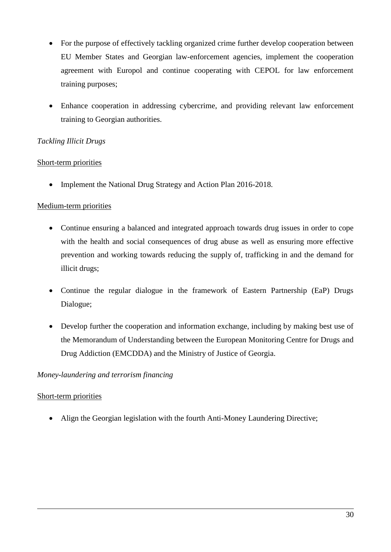- For the purpose of effectively tackling organized crime further develop cooperation between EU Member States and Georgian law-enforcement agencies, implement the cooperation agreement with Europol and continue cooperating with CEPOL for law enforcement training purposes;
- Enhance cooperation in addressing cybercrime, and providing relevant law enforcement training to Georgian authorities.

# *Tackling Illicit Drugs*

## Short-term priorities

• Implement the National Drug Strategy and Action Plan 2016-2018.

# Medium-term priorities

- Continue ensuring a balanced and integrated approach towards drug issues in order to cope with the health and social consequences of drug abuse as well as ensuring more effective prevention and working towards reducing the supply of, trafficking in and the demand for illicit drugs;
- Continue the regular dialogue in the framework of Eastern Partnership (EaP) Drugs Dialogue;
- Develop further the cooperation and information exchange, including by making best use of the Memorandum of Understanding between the European Monitoring Centre for Drugs and Drug Addiction (EMCDDA) and the Ministry of Justice of Georgia.

# *Money-laundering and terrorism financing*

# Short-term priorities

Align the Georgian legislation with the fourth Anti-Money Laundering Directive;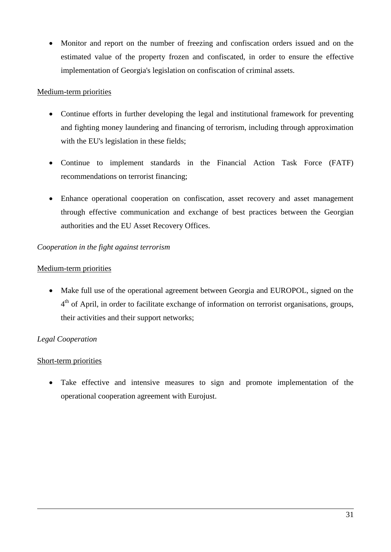Monitor and report on the number of freezing and confiscation orders issued and on the estimated value of the property frozen and confiscated, in order to ensure the effective implementation of Georgia's legislation on confiscation of criminal assets.

## Medium-term priorities

- Continue efforts in further developing the legal and institutional framework for preventing and fighting money laundering and financing of terrorism, including through approximation with the EU's legislation in these fields;
- Continue to implement standards in the Financial Action Task Force (FATF) recommendations on terrorist financing;
- Enhance operational cooperation on confiscation, asset recovery and asset management through effective communication and exchange of best practices between the Georgian authorities and the EU Asset Recovery Offices.

## *Cooperation in the fight against terrorism*

### Medium-term priorities

 Make full use of the operational agreement between Georgia and EUROPOL, signed on the 4<sup>th</sup> of April, in order to facilitate exchange of information on terrorist organisations, groups, their activities and their support networks;

# *Legal Cooperation*

### Short-term priorities

 Take effective and intensive measures to sign and promote implementation of the operational cooperation agreement with Eurojust.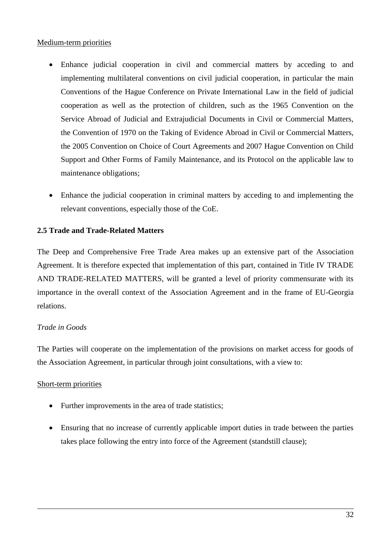- Enhance judicial cooperation in civil and commercial matters by acceding to and implementing multilateral conventions on civil judicial cooperation, in particular the main Conventions of the Hague Conference on Private International Law in the field of judicial cooperation as well as the protection of children, such as the 1965 Convention on the Service Abroad of Judicial and Extrajudicial Documents in Civil or Commercial Matters, the Convention of 1970 on the Taking of Evidence Abroad in Civil or Commercial Matters, the 2005 Convention on Choice of Court Agreements and 2007 Hague Convention on Child Support and Other Forms of Family Maintenance, and its Protocol on the applicable law to maintenance obligations;
- Enhance the judicial cooperation in criminal matters by acceding to and implementing the relevant conventions, especially those of the CoE.

### **2.5 Trade and Trade-Related Matters**

The Deep and Comprehensive Free Trade Area makes up an extensive part of the Association Agreement. It is therefore expected that implementation of this part, contained in Title IV TRADE AND TRADE-RELATED MATTERS, will be granted a level of priority commensurate with its importance in the overall context of the Association Agreement and in the frame of EU-Georgia relations.

### *Trade in Goods*

The Parties will cooperate on the implementation of the provisions on market access for goods of the Association Agreement, in particular through joint consultations, with a view to:

### Short-term priorities

- Further improvements in the area of trade statistics;
- Ensuring that no increase of currently applicable import duties in trade between the parties takes place following the entry into force of the Agreement (standstill clause);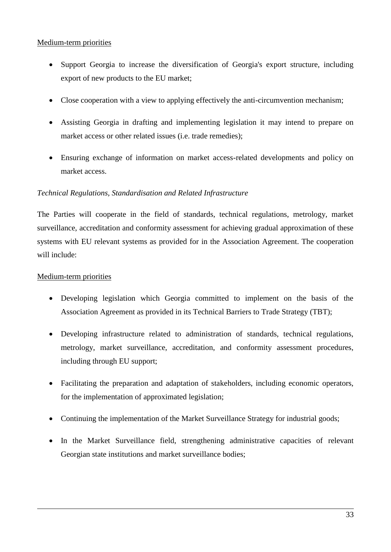- Support Georgia to increase the diversification of Georgia's export structure, including export of new products to the EU market;
- Close cooperation with a view to applying effectively the anti-circumvention mechanism;
- Assisting Georgia in drafting and implementing legislation it may intend to prepare on market access or other related issues (i.e. trade remedies);
- Ensuring exchange of information on market access-related developments and policy on market access.

### *Technical Regulations, Standardisation and Related Infrastructure*

The Parties will cooperate in the field of standards, technical regulations, metrology, market surveillance, accreditation and conformity assessment for achieving gradual approximation of these systems with EU relevant systems as provided for in the Association Agreement. The cooperation will include:

- Developing legislation which Georgia committed to implement on the basis of the Association Agreement as provided in its Technical Barriers to Trade Strategy (TBT);
- Developing infrastructure related to administration of standards, technical regulations, metrology, market surveillance, accreditation, and conformity assessment procedures, including through EU support;
- Facilitating the preparation and adaptation of stakeholders, including economic operators, for the implementation of approximated legislation;
- Continuing the implementation of the Market Surveillance Strategy for industrial goods;
- In the Market Surveillance field, strengthening administrative capacities of relevant Georgian state institutions and market surveillance bodies;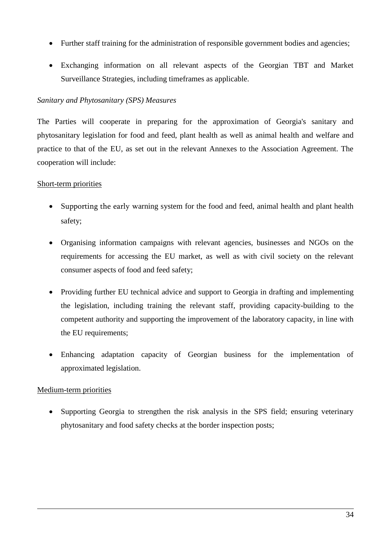- Further staff training for the administration of responsible government bodies and agencies;
- Exchanging information on all relevant aspects of the Georgian TBT and Market Surveillance Strategies, including timeframes as applicable.

# *Sanitary and Phytosanitary (SPS) Measures*

The Parties will cooperate in preparing for the approximation of Georgia's sanitary and phytosanitary legislation for food and feed, plant health as well as animal health and welfare and practice to that of the EU, as set out in the relevant Annexes to the Association Agreement. The cooperation will include:

## Short-term priorities

- Supporting the early warning system for the food and feed, animal health and plant health safety;
- Organising information campaigns with relevant agencies, businesses and NGOs on the requirements for accessing the EU market, as well as with civil society on the relevant consumer aspects of food and feed safety;
- Providing further EU technical advice and support to Georgia in drafting and implementing the legislation, including training the relevant staff, providing capacity-building to the competent authority and supporting the improvement of the laboratory capacity, in line with the EU requirements;
- Enhancing adaptation capacity of Georgian business for the implementation of approximated legislation.

# Medium-term priorities

• Supporting Georgia to strengthen the risk analysis in the SPS field; ensuring veterinary phytosanitary and food safety checks at the border inspection posts;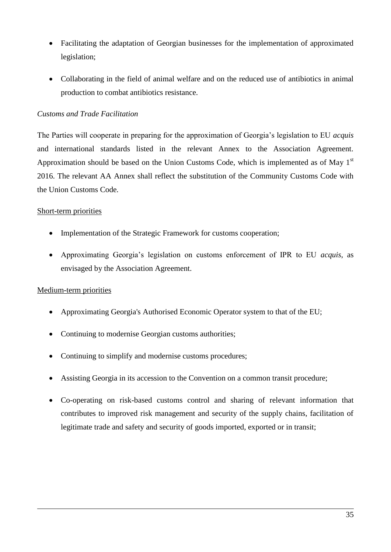- Facilitating the adaptation of Georgian businesses for the implementation of approximated legislation;
- Collaborating in the field of animal welfare and on the reduced use of antibiotics in animal production to combat antibiotics resistance.

## *Customs and Trade Facilitation*

The Parties will cooperate in preparing for the approximation of Georgia's legislation to EU *acquis* and international standards listed in the relevant Annex to the Association Agreement. Approximation should be based on the Union Customs Code, which is implemented as of May  $1<sup>st</sup>$ 2016. The relevant AA Annex shall reflect the substitution of the Community Customs Code with the Union Customs Code.

## Short-term priorities

- Implementation of the Strategic Framework for customs cooperation;
- Approximating Georgia's legislation on customs enforcement of IPR to EU *acquis*, as envisaged by the Association Agreement.

- Approximating Georgia's Authorised Economic Operator system to that of the EU;
- Continuing to modernise Georgian customs authorities;
- Continuing to simplify and modernise customs procedures;
- Assisting Georgia in its accession to the Convention on a common transit procedure;
- Co-operating on risk-based customs control and sharing of relevant information that contributes to improved risk management and security of the supply chains, facilitation of legitimate trade and safety and security of goods imported, exported or in transit;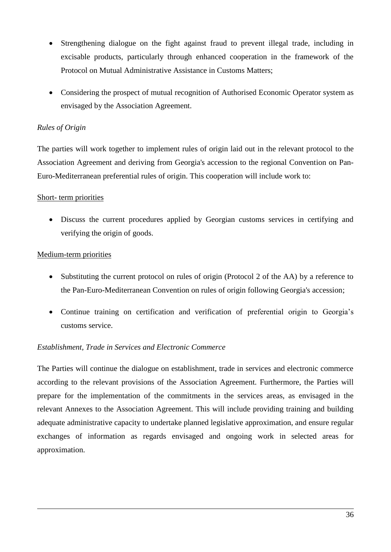- Strengthening dialogue on the fight against fraud to prevent illegal trade, including in excisable products, particularly through enhanced cooperation in the framework of the Protocol on Mutual Administrative Assistance in Customs Matters;
- Considering the prospect of mutual recognition of Authorised Economic Operator system as envisaged by the Association Agreement.

## *Rules of Origin*

The parties will work together to implement rules of origin laid out in the relevant protocol to the Association Agreement and deriving from Georgia's accession to the regional Convention on Pan-Euro-Mediterranean preferential rules of origin. This cooperation will include work to:

### Short- term priorities

 Discuss the current procedures applied by Georgian customs services in certifying and verifying the origin of goods.

## Medium-term priorities

- Substituting the current protocol on rules of origin (Protocol 2 of the AA) by a reference to the Pan-Euro-Mediterranean Convention on rules of origin following Georgia's accession;
- Continue training on certification and verification of preferential origin to Georgia's customs service.

# *Establishment, Trade in Services and Electronic Commerce*

The Parties will continue the dialogue on establishment, trade in services and electronic commerce according to the relevant provisions of the Association Agreement. Furthermore, the Parties will prepare for the implementation of the commitments in the services areas, as envisaged in the relevant Annexes to the Association Agreement. This will include providing training and building adequate administrative capacity to undertake planned legislative approximation, and ensure regular exchanges of information as regards envisaged and ongoing work in selected areas for approximation.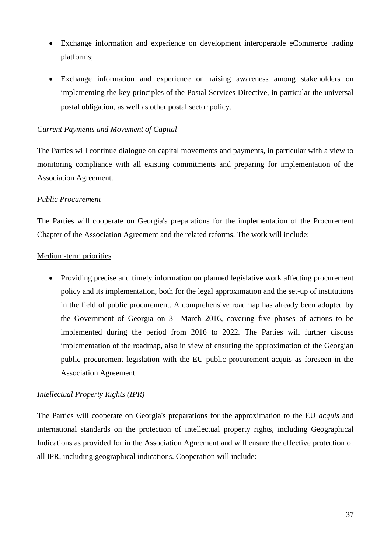- Exchange information and experience on development interoperable eCommerce trading platforms;
- Exchange information and experience on raising awareness among stakeholders on implementing the key principles of the Postal Services Directive, in particular the universal postal obligation, as well as other postal sector policy.

#### *Current Payments and Movement of Capital*

The Parties will continue dialogue on capital movements and payments, in particular with a view to monitoring compliance with all existing commitments and preparing for implementation of the Association Agreement.

#### *Public Procurement*

The Parties will cooperate on Georgia's preparations for the implementation of the Procurement Chapter of the Association Agreement and the related reforms. The work will include:

### Medium-term priorities

• Providing precise and timely information on planned legislative work affecting procurement policy and its implementation, both for the legal approximation and the set-up of institutions in the field of public procurement. A comprehensive roadmap has already been adopted by the Government of Georgia on 31 March 2016, covering five phases of actions to be implemented during the period from 2016 to 2022. The Parties will further discuss implementation of the roadmap, also in view of ensuring the approximation of the Georgian public procurement legislation with the EU public procurement acquis as foreseen in the Association Agreement.

### *Intellectual Property Rights (IPR)*

The Parties will cooperate on Georgia's preparations for the approximation to the EU *acquis* and international standards on the protection of intellectual property rights, including Geographical Indications as provided for in the Association Agreement and will ensure the effective protection of all IPR, including geographical indications. Cooperation will include: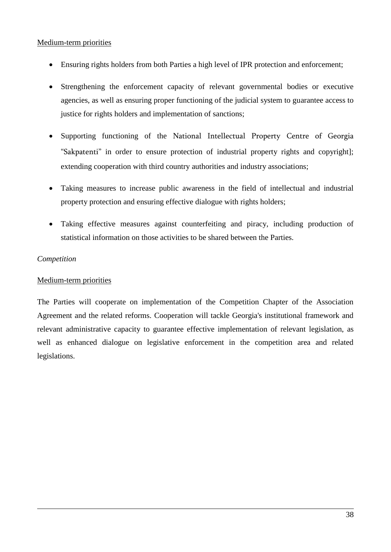- Ensuring rights holders from both Parties a high level of IPR protection and enforcement;
- Strengthening the enforcement capacity of relevant governmental bodies or executive agencies, as well as ensuring proper functioning of the judicial system to guarantee access to justice for rights holders and implementation of sanctions;
- Supporting functioning of the National Intellectual Property Centre of Georgia "Sakpatenti" in order to ensure protection of industrial property rights and copyright]; extending cooperation with third country authorities and industry associations;
- Taking measures to increase public awareness in the field of intellectual and industrial property protection and ensuring effective dialogue with rights holders;
- Taking effective measures against counterfeiting and piracy, including production of statistical information on those activities to be shared between the Parties.

### *Competition*

### Medium-term priorities

The Parties will cooperate on implementation of the Competition Chapter of the Association Agreement and the related reforms. Cooperation will tackle Georgia's institutional framework and relevant administrative capacity to guarantee effective implementation of relevant legislation, as well as enhanced dialogue on legislative enforcement in the competition area and related legislations.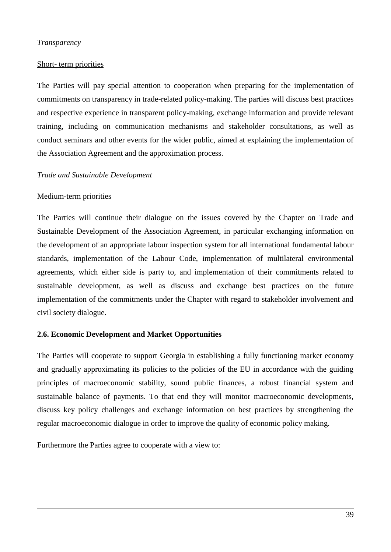#### *Transparency*

#### Short- term priorities

The Parties will pay special attention to cooperation when preparing for the implementation of commitments on transparency in trade-related policy-making. The parties will discuss best practices and respective experience in transparent policy-making, exchange information and provide relevant training, including on communication mechanisms and stakeholder consultations, as well as conduct seminars and other events for the wider public, aimed at explaining the implementation of the Association Agreement and the approximation process.

#### *Trade and Sustainable Development*

#### Medium-term priorities

The Parties will continue their dialogue on the issues covered by the Chapter on Trade and Sustainable Development of the Association Agreement, in particular exchanging information on the development of an appropriate labour inspection system for all international fundamental labour standards, implementation of the Labour Code, implementation of multilateral environmental agreements, which either side is party to, and implementation of their commitments related to sustainable development, as well as discuss and exchange best practices on the future implementation of the commitments under the Chapter with regard to stakeholder involvement and civil society dialogue.

#### **2.6. Economic Development and Market Opportunities**

The Parties will cooperate to support Georgia in establishing a fully functioning market economy and gradually approximating its policies to the policies of the EU in accordance with the guiding principles of macroeconomic stability, sound public finances, a robust financial system and sustainable balance of payments. To that end they will monitor macroeconomic developments, discuss key policy challenges and exchange information on best practices by strengthening the regular macroeconomic dialogue in order to improve the quality of economic policy making.

Furthermore the Parties agree to cooperate with a view to: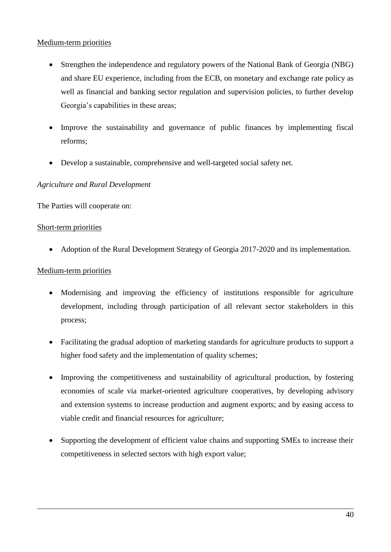- Strengthen the independence and regulatory powers of the National Bank of Georgia (NBG) and share EU experience, including from the ECB, on monetary and exchange rate policy as well as financial and banking sector regulation and supervision policies, to further develop Georgia's capabilities in these areas;
- Improve the sustainability and governance of public finances by implementing fiscal reforms;
- Develop a sustainable, comprehensive and well-targeted social safety net.

## *Agriculture and Rural Development*

The Parties will cooperate on:

### Short-term priorities

• Adoption of the Rural Development Strategy of Georgia 2017-2020 and its implementation.

- Modernising and improving the efficiency of institutions responsible for agriculture development, including through participation of all relevant sector stakeholders in this process;
- Facilitating the gradual adoption of marketing standards for agriculture products to support a higher food safety and the implementation of quality schemes:
- Improving the competitiveness and sustainability of agricultural production, by fostering economies of scale via market-oriented agriculture cooperatives, by developing advisory and extension systems to increase production and augment exports; and by easing access to viable credit and financial resources for agriculture;
- Supporting the development of efficient value chains and supporting SMEs to increase their competitiveness in selected sectors with high export value;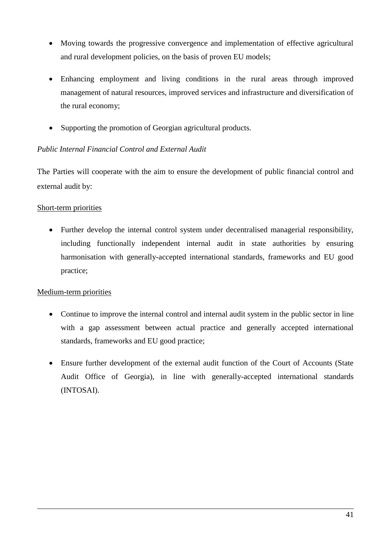- Moving towards the progressive convergence and implementation of effective agricultural and rural development policies, on the basis of proven EU models;
- Enhancing employment and living conditions in the rural areas through improved management of natural resources, improved services and infrastructure and diversification of the rural economy;
- Supporting the promotion of Georgian agricultural products.

# *Public Internal Financial Control and External Audit*

The Parties will cooperate with the aim to ensure the development of public financial control and external audit by:

## Short-term priorities

 Further develop the internal control system under decentralised managerial responsibility, including functionally independent internal audit in state authorities by ensuring harmonisation with generally-accepted international standards, frameworks and EU good practice;

- Continue to improve the internal control and internal audit system in the public sector in line with a gap assessment between actual practice and generally accepted international standards, frameworks and EU good practice;
- Ensure further development of the external audit function of the Court of Accounts (State Audit Office of Georgia), in line with generally-accepted international standards (INTOSAI).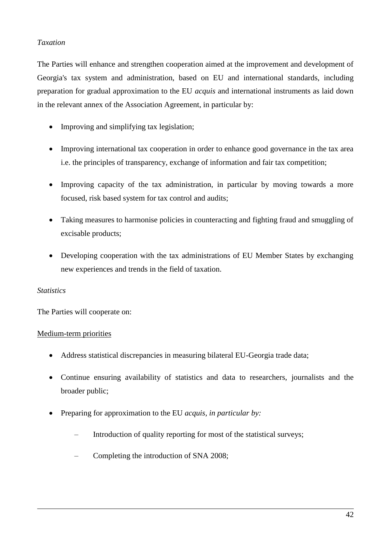## *Taxation*

The Parties will enhance and strengthen cooperation aimed at the improvement and development of Georgia's tax system and administration, based on EU and international standards, including preparation for gradual approximation to the EU *acquis* and international instruments as laid down in the relevant annex of the Association Agreement, in particular by:

- Improving and simplifying tax legislation;
- Improving international tax cooperation in order to enhance good governance in the tax area i.e. the principles of transparency, exchange of information and fair tax competition;
- Improving capacity of the tax administration, in particular by moving towards a more focused, risk based system for tax control and audits;
- Taking measures to harmonise policies in counteracting and fighting fraud and smuggling of excisable products;
- Developing cooperation with the tax administrations of EU Member States by exchanging new experiences and trends in the field of taxation.

### *Statistics*

The Parties will cooperate on:

- Address statistical discrepancies in measuring bilateral EU-Georgia trade data;
- Continue ensuring availability of statistics and data to researchers, journalists and the broader public;
- Preparing for approximation to the EU *acquis, in particular by:*
	- Introduction of quality reporting for most of the statistical surveys:
	- Completing the introduction of SNA 2008;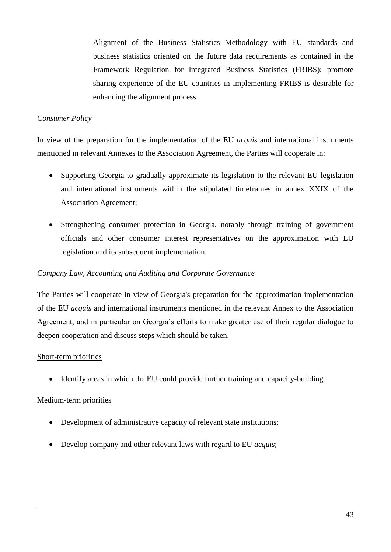– Alignment of the Business Statistics Methodology with EU standards and business statistics oriented on the future data requirements as contained in the Framework Regulation for Integrated Business Statistics (FRIBS); promote sharing experience of the EU countries in implementing FRIBS is desirable for enhancing the alignment process.

## *Consumer Policy*

In view of the preparation for the implementation of the EU *acquis* and international instruments mentioned in relevant Annexes to the Association Agreement, the Parties will cooperate in:

- Supporting Georgia to gradually approximate its legislation to the relevant EU legislation and international instruments within the stipulated timeframes in annex XXIX of the Association Agreement;
- Strengthening consumer protection in Georgia, notably through training of government officials and other consumer interest representatives on the approximation with EU legislation and its subsequent implementation.

## *Company Law, Account*i*ng and Auditing and Corporate Governance*

The Parties will cooperate in view of Georgia's preparation for the approximation implementation of the EU *acquis* and international instruments mentioned in the relevant Annex to the Association Agreement, and in particular on Georgia's efforts to make greater use of their regular dialogue to deepen cooperation and discuss steps which should be taken.

### Short-term priorities

Identify areas in which the EU could provide further training and capacity-building.

- Development of administrative capacity of relevant state institutions;
- Develop company and other relevant laws with regard to EU *acquis*;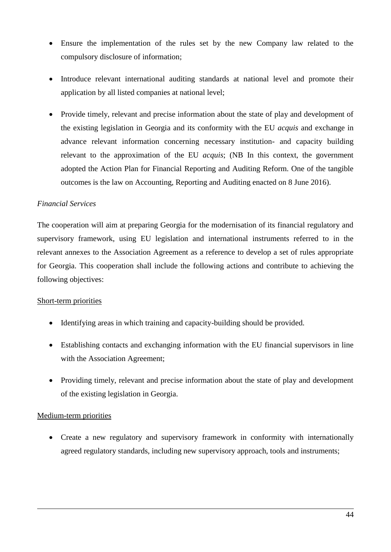- Ensure the implementation of the rules set by the new Company law related to the compulsory disclosure of information;
- Introduce relevant international auditing standards at national level and promote their application by all listed companies at national level;
- Provide timely, relevant and precise information about the state of play and development of the existing legislation in Georgia and its conformity with the EU *acquis* and exchange in advance relevant information concerning necessary institution- and capacity building relevant to the approximation of the EU *acquis*; (NB In this context, the government adopted the Action Plan for Financial Reporting and Auditing Reform. One of the tangible outcomes is the law on Accounting, Reporting and Auditing enacted on 8 June 2016).

## *Financial Services*

The cooperation will aim at preparing Georgia for the modernisation of its financial regulatory and supervisory framework, using EU legislation and international instruments referred to in the relevant annexes to the Association Agreement as a reference to develop a set of rules appropriate for Georgia. This cooperation shall include the following actions and contribute to achieving the following objectives:

### Short-term priorities

- Identifying areas in which training and capacity-building should be provided.
- Establishing contacts and exchanging information with the EU financial supervisors in line with the Association Agreement;
- Providing timely, relevant and precise information about the state of play and development of the existing legislation in Georgia.

# Medium-term priorities

• Create a new regulatory and supervisory framework in conformity with internationally agreed regulatory standards, including new supervisory approach, tools and instruments;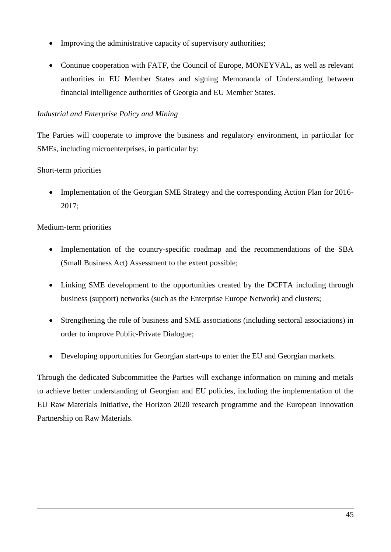- Improving the administrative capacity of supervisory authorities;
- Continue cooperation with FATF, the Council of Europe, MONEYVAL, as well as relevant authorities in EU Member States and signing Memoranda of Understanding between financial intelligence authorities of Georgia and EU Member States.

## *Industrial and Enterprise Policy and Mining*

The Parties will cooperate to improve the business and regulatory environment, in particular for SMEs, including microenterprises, in particular by:

## Short-term priorities

• Implementation of the Georgian SME Strategy and the corresponding Action Plan for 2016-2017;

## Medium-term priorities

- Implementation of the country-specific roadmap and the recommendations of the SBA (Small Business Act) Assessment to the extent possible;
- Linking SME development to the opportunities created by the DCFTA including through business (support) networks (such as the Enterprise Europe Network) and clusters;
- Strengthening the role of business and SME associations (including sectoral associations) in order to improve Public-Private Dialogue;
- Developing opportunities for Georgian start-ups to enter the EU and Georgian markets.

Through the dedicated Subcommittee the Parties will exchange information on mining and metals to achieve better understanding of Georgian and EU policies, including the implementation of the EU Raw Materials Initiative, the Horizon 2020 research programme and the European Innovation Partnership on Raw Materials.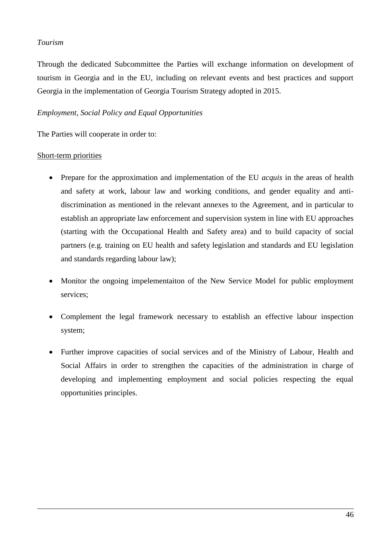### *Tourism*

Through the dedicated Subcommittee the Parties will exchange information on development of tourism in Georgia and in the EU, including on relevant events and best practices and support Georgia in the implementation of Georgia Tourism Strategy adopted in 2015.

## *Employment, Social Policy and Equal Opportunities*

The Parties will cooperate in order to:

#### Short-term priorities

- Prepare for the approximation and implementation of the EU *acquis* in the areas of health and safety at work, labour law and working conditions, and gender equality and antidiscrimination as mentioned in the relevant annexes to the Agreement, and in particular to establish an appropriate law enforcement and supervision system in line with EU approaches (starting with the Occupational Health and Safety area) and to build capacity of social partners (e.g. training on EU health and safety legislation and standards and EU legislation and standards regarding labour law);
- Monitor the ongoing impelementaiton of the New Service Model for public employment services;
- Complement the legal framework necessary to establish an effective labour inspection system;
- Further improve capacities of social services and of the Ministry of Labour, Health and Social Affairs in order to strengthen the capacities of the administration in charge of developing and implementing employment and social policies respecting the equal opportunities principles.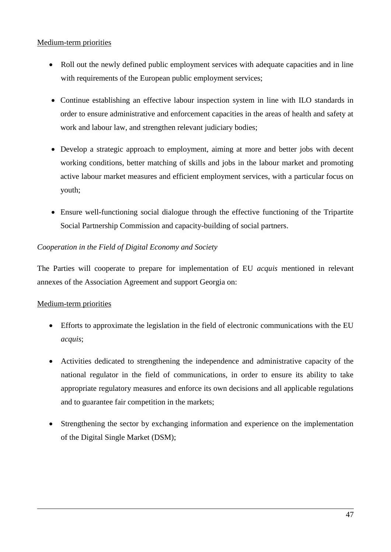- Roll out the newly defined public employment services with adequate capacities and in line with requirements of the European public employment services;
- Continue establishing an effective labour inspection system in line with ILO standards in order to ensure administrative and enforcement capacities in the areas of health and safety at work and labour law, and strengthen relevant judiciary bodies;
- Develop a strategic approach to employment, aiming at more and better jobs with decent working conditions, better matching of skills and jobs in the labour market and promoting active labour market measures and efficient employment services, with a particular focus on youth;
- Ensure well-functioning social dialogue through the effective functioning of the Tripartite Social Partnership Commission and capacity-building of social partners.

# *Cooperation in the Field of Digital Economy and Society*

The Parties will cooperate to prepare for implementation of EU *acquis* mentioned in relevant annexes of the Association Agreement and support Georgia on:

- Efforts to approximate the legislation in the field of electronic communications with the EU *acquis*;
- Activities dedicated to strengthening the independence and administrative capacity of the national regulator in the field of communications, in order to ensure its ability to take appropriate regulatory measures and enforce its own decisions and all applicable regulations and to guarantee fair competition in the markets;
- Strengthening the sector by exchanging information and experience on the implementation of the Digital Single Market (DSM);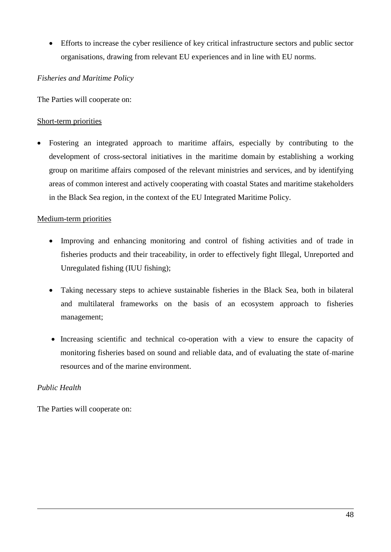Efforts to increase the cyber resilience of key critical infrastructure sectors and public sector organisations, drawing from relevant EU experiences and in line with EU norms.

#### *Fisheries and Maritime Policy*

The Parties will cooperate on:

#### Short-term priorities

 Fostering an integrated approach to maritime affairs, especially by contributing to the development of cross-sectoral initiatives in the maritime domain by establishing a working group on maritime affairs composed of the relevant ministries and services, and by identifying areas of common interest and actively cooperating with coastal States and maritime stakeholders in the Black Sea region, in the context of the EU Integrated Maritime Policy.

### Medium-term priorities

- Improving and enhancing monitoring and control of fishing activities and of trade in fisheries products and their traceability, in order to effectively fight Illegal, Unreported and Unregulated fishing (IUU fishing);
- Taking necessary steps to achieve sustainable fisheries in the Black Sea, both in bilateral and multilateral frameworks on the basis of an ecosystem approach to fisheries management;
- Increasing scientific and technical co-operation with a view to ensure the capacity of monitoring fisheries based on sound and reliable data, and of evaluating the state of marine resources and of the marine environment.

### *Public Health*

The Parties will cooperate on: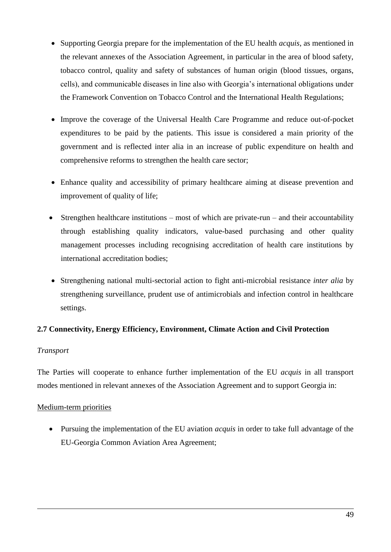- Supporting Georgia prepare for the implementation of the EU health *acquis*, as mentioned in the relevant annexes of the Association Agreement, in particular in the area of blood safety, tobacco control, quality and safety of substances of human origin (blood tissues, organs, cells), and communicable diseases in line also with Georgia's international obligations under the Framework Convention on Tobacco Control and the International Health Regulations;
- Improve the coverage of the Universal Health Care Programme and reduce out-of-pocket expenditures to be paid by the patients. This issue is considered a main priority of the government and is reflected inter alia in an increase of public expenditure on health and comprehensive reforms to strengthen the health care sector;
- Enhance quality and accessibility of primary healthcare aiming at disease prevention and improvement of quality of life;
- Strengthen healthcare institutions most of which are private-run and their accountability through establishing quality indicators, value-based purchasing and other quality management processes including recognising accreditation of health care institutions by international accreditation bodies;
- Strengthening national multi-sectorial action to fight anti-microbial resistance *inter alia* by strengthening surveillance, prudent use of antimicrobials and infection control in healthcare settings.

# **2.7 Connectivity, Energy Efficiency, Environment, Climate Action and Civil Protection**

### *Transport*

The Parties will cooperate to enhance further implementation of the EU *acquis* in all transport modes mentioned in relevant annexes of the Association Agreement and to support Georgia in:

### Medium-term priorities

 Pursuing the implementation of the EU aviation *acquis* in order to take full advantage of the EU-Georgia Common Aviation Area Agreement;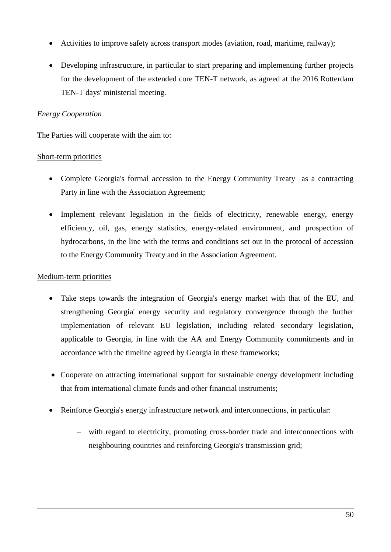- Activities to improve safety across transport modes (aviation, road, maritime, railway);
- Developing infrastructure, in particular to start preparing and implementing further projects for the development of the extended core TEN-T network, as agreed at the 2016 Rotterdam TEN-T days' ministerial meeting.

# *Energy Cooperation*

The Parties will cooperate with the aim to:

## Short-term priorities

- Complete Georgia's formal accession to the Energy Community Treaty as a contracting Party in line with the Association Agreement;
- Implement relevant legislation in the fields of electricity, renewable energy, energy efficiency, oil, gas, energy statistics, energy-related environment, and prospection of hydrocarbons, in the line with the terms and conditions set out in the protocol of accession to the Energy Community Treaty and in the Association Agreement.

- Take steps towards the integration of Georgia's energy market with that of the EU, and strengthening Georgia' energy security and regulatory convergence through the further implementation of relevant EU legislation, including related secondary legislation, applicable to Georgia, in line with the AA and Energy Community commitments and in accordance with the timeline agreed by Georgia in these frameworks;
- Cooperate on attracting international support for sustainable energy development including that from international climate funds and other financial instruments;
- Reinforce Georgia's energy infrastructure network and interconnections, in particular:
	- with regard to electricity, promoting cross-border trade and interconnections with neighbouring countries and reinforcing Georgia's transmission grid;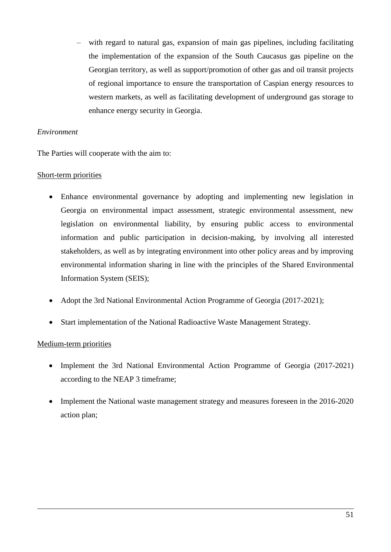– with regard to natural gas, expansion of main gas pipelines, including facilitating the implementation of the expansion of the South Caucasus gas pipeline on the Georgian territory, as well as support/promotion of other gas and oil transit projects of regional importance to ensure the transportation of Caspian energy resources to western markets, as well as facilitating development of underground gas storage to enhance energy security in Georgia.

#### *Environment*

The Parties will cooperate with the aim to:

### Short-term priorities

- Enhance environmental governance by adopting and implementing new legislation in Georgia on environmental impact assessment, strategic environmental assessment, new legislation on environmental liability, by ensuring public access to environmental information and public participation in decision-making, by involving all interested stakeholders, as well as by integrating environment into other policy areas and by improving environmental information sharing in line with the principles of the Shared Environmental Information System (SEIS);
- Adopt the 3rd National Environmental Action Programme of Georgia (2017-2021);
- Start implementation of the National Radioactive Waste Management Strategy.

- Implement the 3rd National Environmental Action Programme of Georgia (2017-2021) according to the NEAP 3 timeframe;
- Implement the National waste management strategy and measures foreseen in the 2016-2020 action plan;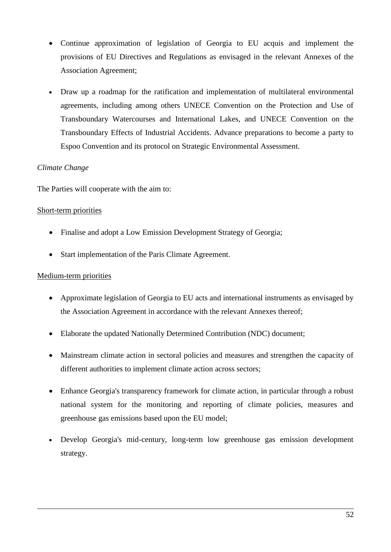- Continue approximation of legislation of Georgia to EU acquis and implement the provisions of EU Directives and Regulations as envisaged in the relevant Annexes of the Association Agreement;
- Draw up a roadmap for the ratification and implementation of multilateral environmental agreements, including among others UNECE Convention on the Protection and Use of Transboundary Watercourses and International Lakes, and UNECE Convention on the Transboundary Effects of Industrial Accidents. Advance preparations to become a party to Espoo Convention and its protocol on Strategic Environmental Assessment.

## *Climate Change*

The Parties will cooperate with the aim to:

### Short-term priorities

- Finalise and adopt a Low Emission Development Strategy of Georgia;
- Start implementation of the Paris Climate Agreement.

- Approximate legislation of Georgia to EU acts and international instruments as envisaged by the Association Agreement in accordance with the relevant Annexes thereof;
- Elaborate the updated Nationally Determined Contribution (NDC) document;
- Mainstream climate action in sectoral policies and measures and strengthen the capacity of different authorities to implement climate action across sectors;
- Enhance Georgia's transparency framework for climate action, in particular through a robust national system for the monitoring and reporting of climate policies, measures and greenhouse gas emissions based upon the EU model;
- Develop Georgia's mid-century, long-term low greenhouse gas emission development strategy.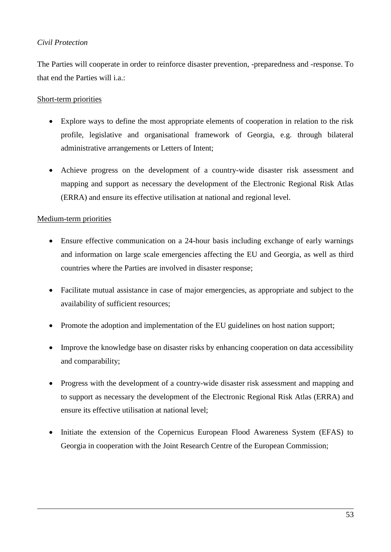# *Civil Protection*

The Parties will cooperate in order to reinforce disaster prevention, -preparedness and -response. To that end the Parties will i.a.:

## Short-term priorities

- Explore ways to define the most appropriate elements of cooperation in relation to the risk profile, legislative and organisational framework of Georgia, e.g. through bilateral administrative arrangements or Letters of Intent;
- Achieve progress on the development of a country-wide disaster risk assessment and mapping and support as necessary the development of the Electronic Regional Risk Atlas (ERRA) and ensure its effective utilisation at national and regional level.

- Ensure effective communication on a 24-hour basis including exchange of early warnings and information on large scale emergencies affecting the EU and Georgia, as well as third countries where the Parties are involved in disaster response;
- Facilitate mutual assistance in case of major emergencies, as appropriate and subject to the availability of sufficient resources;
- Promote the adoption and implementation of the EU guidelines on host nation support;
- Improve the knowledge base on disaster risks by enhancing cooperation on data accessibility and comparability;
- Progress with the development of a country-wide disaster risk assessment and mapping and to support as necessary the development of the Electronic Regional Risk Atlas (ERRA) and ensure its effective utilisation at national level;
- Initiate the extension of the Copernicus European Flood Awareness System (EFAS) to Georgia in cooperation with the Joint Research Centre of the European Commission;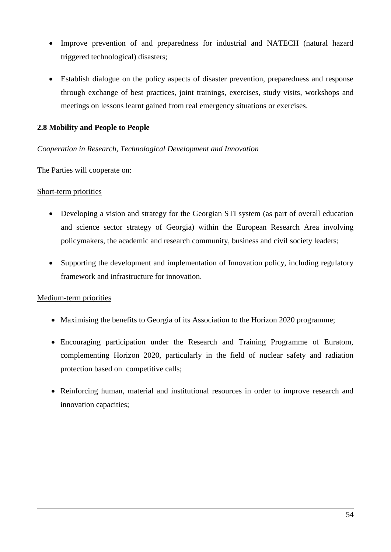- Improve prevention of and preparedness for industrial and NATECH (natural hazard triggered technological) disasters;
- Establish dialogue on the policy aspects of disaster prevention, preparedness and response through exchange of best practices, joint trainings, exercises, study visits, workshops and meetings on lessons learnt gained from real emergency situations or exercises.

### **2.8 Mobility and People to People**

### *Cooperation in Research, Technological Development and Innovation*

The Parties will cooperate on:

#### Short-term priorities

- Developing a vision and strategy for the Georgian STI system (as part of overall education and science sector strategy of Georgia) within the European Research Area involving policymakers, the academic and research community, business and civil society leaders;
- Supporting the development and implementation of Innovation policy, including regulatory framework and infrastructure for innovation.

- Maximising the benefits to Georgia of its Association to the Horizon 2020 programme;
- Encouraging participation under the Research and Training Programme of Euratom, complementing Horizon 2020, particularly in the field of nuclear safety and radiation protection based on competitive calls;
- Reinforcing human, material and institutional resources in order to improve research and innovation capacities;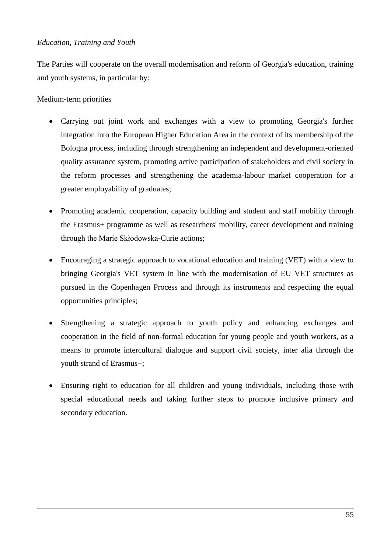### *Education, Training and Youth*

The Parties will cooperate on the overall modernisation and reform of Georgia's education, training and youth systems, in particular by:

- Carrying out joint work and exchanges with a view to promoting Georgia's further integration into the European Higher Education Area in the context of its membership of the Bologna process, including through strengthening an independent and development-oriented quality assurance system, promoting active participation of stakeholders and civil society in the reform processes and strengthening the academia-labour market cooperation for a greater employability of graduates;
- Promoting academic cooperation, capacity building and student and staff mobility through the Erasmus+ programme as well as researchers' mobility, career development and training through the Marie Skłodowska-Curie actions;
- Encouraging a strategic approach to vocational education and training (VET) with a view to bringing Georgia's VET system in line with the modernisation of EU VET structures as pursued in the Copenhagen Process and through its instruments and respecting the equal opportunities principles;
- Strengthening a strategic approach to youth policy and enhancing exchanges and cooperation in the field of non-formal education for young people and youth workers, as a means to promote intercultural dialogue and support civil society, inter alia through the youth strand of Erasmus+;
- Ensuring right to education for all children and young individuals, including those with special educational needs and taking further steps to promote inclusive primary and secondary education.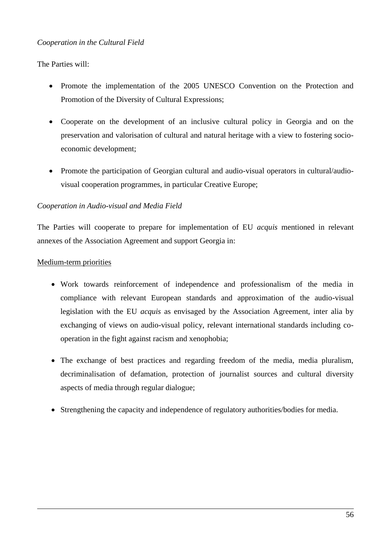The Parties will:

- Promote the implementation of the 2005 UNESCO Convention on the Protection and Promotion of the Diversity of Cultural Expressions;
- Cooperate on the development of an inclusive cultural policy in Georgia and on the preservation and valorisation of cultural and natural heritage with a view to fostering socioeconomic development;
- Promote the participation of Georgian cultural and audio-visual operators in cultural/audiovisual cooperation programmes, in particular Creative Europe;

## *Cooperation in Audio-visual and Media Field*

The Parties will cooperate to prepare for implementation of EU *acquis* mentioned in relevant annexes of the Association Agreement and support Georgia in:

- Work towards reinforcement of independence and professionalism of the media in compliance with relevant European standards and approximation of the audio-visual legislation with the EU *acquis* as envisaged by the Association Agreement, inter alia by exchanging of views on audio-visual policy, relevant international standards including cooperation in the fight against racism and xenophobia;
- The exchange of best practices and regarding freedom of the media, media pluralism, decriminalisation of defamation, protection of journalist sources and cultural diversity aspects of media through regular dialogue;
- Strengthening the capacity and independence of regulatory authorities/bodies for media.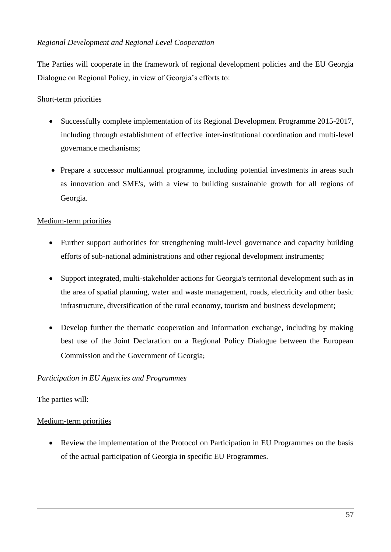## *Regional Development and Regional Level Cooperation*

The Parties will cooperate in the framework of regional development policies and the EU Georgia Dialogue on Regional Policy, in view of Georgia's efforts to:

## Short-term priorities

- Successfully complete implementation of its Regional Development Programme 2015-2017, including through establishment of effective inter-institutional coordination and multi-level governance mechanisms;
- Prepare a successor multiannual programme, including potential investments in areas such as innovation and SME's, with a view to building sustainable growth for all regions of Georgia.

## Medium-term priorities

- Further support authorities for strengthening multi-level governance and capacity building efforts of sub-national administrations and other regional development instruments;
- Support integrated, multi-stakeholder actions for Georgia's territorial development such as in the area of spatial planning, water and waste management, roads, electricity and other basic infrastructure, diversification of the rural economy, tourism and business development;
- Develop further the thematic cooperation and information exchange, including by making best use of the Joint Declaration on a Regional Policy Dialogue between the European Commission and the Government of Georgia;

### *Participation in EU Agencies and Programmes*

The parties will:

### Medium-term priorities

 Review the implementation of the Protocol on Participation in EU Programmes on the basis of the actual participation of Georgia in specific EU Programmes.